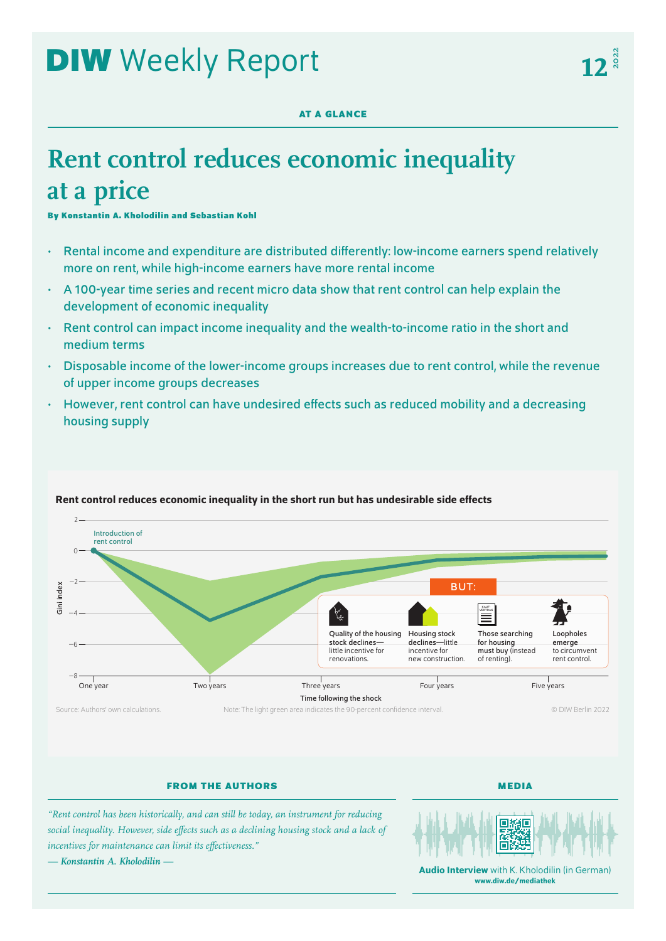# **DIW** Weekly Report

## **AT A GLANCE**

## **Rent control reduces economic inequality at a price**

**By Konstantin A. Kholodilin and Sebastian Kohl**

- Rental income and expenditure are distributed differently: low-income earners spend relatively more on rent, while high-income earners have more rental income
- A 100-year time series and recent micro data show that rent control can help explain the development of economic inequality
- Rent control can impact income inequality and the wealth-to-income ratio in the short and medium terms
- Disposable income of the lower-income groups increases due to rent control, while the revenue of upper income groups decreases
- However, rent control can have undesired effects such as reduced mobility and a decreasing housing supply



## Rent control reduces economic inequality in the short run but has undesirable side effects

Source: Authors' own calculations. Note: The light green area indicates the 90-percent confidence interval.

© DIW Berlin 2022

**FROM THE AUTHORS**

**MEDIA**

*"Rent control has been historically, and can still be today, an instrument for reducing social inequality. However, side effects such as a declining housing stock and a lack of incentives for maintenance can limit its effectiveness."*





Audio Interview with K. Kholodilin (in German) [www.diw.de/mediathek](http://www.diw.de/mediathek)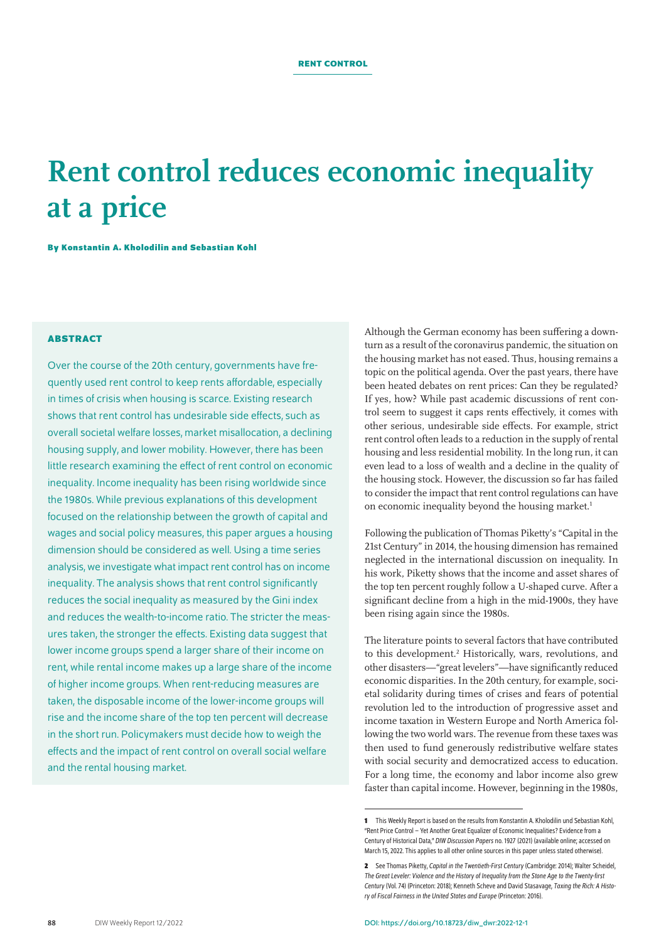## **Rent control reduces economic inequality at a price**

**By Konstantin A. Kholodilin and Sebastian Kohl**

## **ABSTRACT**

Over the course of the 20th century, governments have frequently used rent control to keep rents affordable, especially in times of crisis when housing is scarce. Existing research shows that rent control has undesirable side effects, such as overall societal welfare losses, market misallocation, a declining housing supply, and lower mobility. However, there has been little research examining the effect of rent control on economic inequality. Income inequality has been rising worldwide since the 1980s. While previous explanations of this development focused on the relationship between the growth of capital and wages and social policy measures, this paper argues a housing dimension should be considered as well. Using a time series analysis, we investigate what impact rent control has on income inequality. The analysis shows that rent control significantly reduces the social inequality as measured by the Gini index and reduces the wealth-to-income ratio. The stricter the measures taken, the stronger the effects. Existing data suggest that lower income groups spend a larger share of their income on rent, while rental income makes up a large share of the income of higher income groups. When rent-reducing measures are taken, the disposable income of the lower-income groups will rise and the income share of the top ten percent will decrease in the short run. Policymakers must decide how to weigh the effects and the impact of rent control on overall social welfare and the rental housing market.

Although the German economy has been suffering a downturn as a result of the coronavirus pandemic, the situation on the housing market has not eased. Thus, housing remains a topic on the political agenda. Over the past years, there have been heated debates on rent prices: Can they be regulated? If yes, how? While past academic discussions of rent control seem to suggest it caps rents effectively, it comes with other serious, undesirable side effects. For example, strict rent control often leads to a reduction in the supply of rental housing and less residential mobility. In the long run, it can even lead to a loss of wealth and a decline in the quality of the housing stock. However, the discussion so far has failed to consider the impact that rent control regulations can have on economic inequality beyond the housing market.<sup>1</sup>

Following the publication of Thomas Piketty's "Capital in the 21st Century" in 2014, the housing dimension has remained neglected in the international discussion on inequality. In his work, Piketty shows that the income and asset shares of the top ten percent roughly follow a U-shaped curve. After a significant decline from a high in the mid-1900s, they have been rising again since the 1980s.

The literature points to several factors that have contributed to this development.<sup>2</sup> Historically, wars, revolutions, and other disasters—"great levelers"—have significantly reduced economic disparities. In the 20th century, for example, societal solidarity during times of crises and fears of potential revolution led to the introduction of progressive asset and income taxation in Western Europe and North America following the two world wars. The revenue from these taxes was then used to fund generously redistributive welfare states with social security and democratized access to education. For a long time, the economy and labor income also grew faster than capital income. However, beginning in the 1980s,

**<sup>1</sup>** This Weekly Report is based on the results from Konstantin A. Kholodilin und Sebastian Kohl, "Rent Price Control – Yet Another Great Equalizer of Economic Inequalities? Evidence from a Century of Historical Data," *DIW Discussion Papers* no. 1927(2021) ([available online](https://www.diw.de/de/diw_01.c.809564.de/publikationen/diskussionspapiere/2021_1927/rent_price_control_____yet_another_great_equalizer_of_economic_inequalities__evidence_from_a_century_of_historical_data.html); accessed on March 15, 2022. This applies to all other online sources in this paper unless stated otherwise).

**<sup>2</sup>** See Thomas Piketty, *Capital in the Twentieth-First Century* (Cambridge: 2014); Walter Scheidel, *The Great Leveler: Violence and the History of Inequality from the Stone Age to the Twenty-first Century* (Vol.74) (Princeton: 2018); Kenneth Scheve and David Stasavage, *Taxing the Rich: A History of Fiscal Fairness in the United States and Europe* (Princeton: 2016).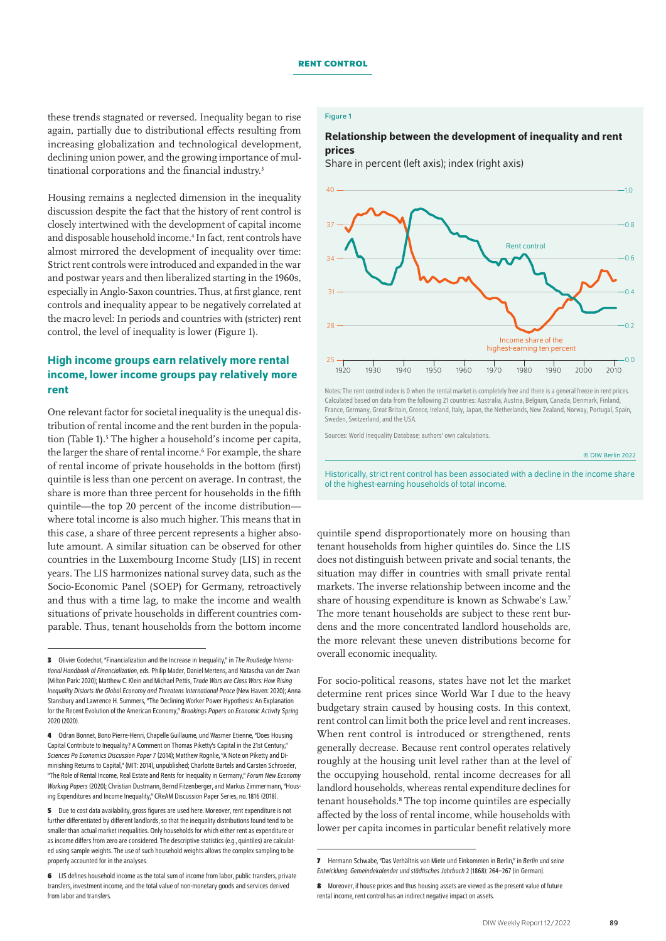these trends stagnated or reversed. Inequality began to rise again, partially due to distributional effects resulting from increasing globalization and technological development, declining union power, and the growing importance of multinational corporations and the financial industry.<sup>3</sup>

Housing remains a neglected dimension in the inequality discussion despite the fact that the history of rent control is closely intertwined with the development of capital income and disposable household income.4 In fact, rent controls have almost mirrored the development of inequality over time: Strict rent controls were introduced and expanded in the war and postwar years and then liberalized starting in the 1960s, especially in Anglo-Saxon countries. Thus, at first glance, rent controls and inequality appear to be negatively correlated at the macro level: In periods and countries with (stricter) rent control, the level of inequality is lower (Figure 1).

## High income groups earn relatively more rental income, lower income groups pay relatively more rent

One relevant factor for societal inequality is the unequal distribution of rental income and the rent burden in the population (Table 1).<sup>5</sup> The higher a household's income per capita, the larger the share of rental income.6 For example, the share of rental income of private households in the bottom (first) quintile is less than one percent on average. In contrast, the share is more than three percent for households in the fifth quintile—the top 20 percent of the income distribution where total income is also much higher. This means that in this case, a share of three percent represents a higher absolute amount. A similar situation can be observed for other countries in the Luxembourg Income Study (LIS) in recent years. The LIS harmonizes national survey data, such as the Socio-Economic Panel (SOEP) for Germany, retroactively and thus with a time lag, to make the income and wealth situations of private households in different countries comparable. Thus, tenant households from the bottom income

## Figure 1

## Relationship between the development of inequality and rent prices

Share in percent (left axis); index (right axis)



Notes: The rent control index is 0 when the rental market is completely free and there is a general freeze in rent prices. Calculated based on data from the following 21 countries: Australia, Austria, Belgium, Canada, Denmark, Finland, France, Germany, Great Britain, Greece, Ireland, Italy, Japan, the Netherlands, New Zealand, Norway, Portugal, Spain, Sweden, Switzerland, and the USA.

Sources: World Inequality Database; authors' own calculations.

© DIW Berlin 2022

Historically, strict rent control has been associated with a decline in the income share of the highest-earning households of total income.

quintile spend disproportionately more on housing than tenant households from higher quintiles do. Since the LIS does not distinguish between private and social tenants, the situation may differ in countries with small private rental markets. The inverse relationship between income and the share of housing expenditure is known as Schwabe's Law.7 The more tenant households are subject to these rent burdens and the more concentrated landlord households are, the more relevant these uneven distributions become for overall economic inequality.

For socio-political reasons, states have not let the market determine rent prices since World War I due to the heavy budgetary strain caused by housing costs. In this context, rent control can limit both the price level and rent increases. When rent control is introduced or strengthened, rents generally decrease. Because rent control operates relatively roughly at the housing unit level rather than at the level of the occupying household, rental income decreases for all landlord households, whereas rental expenditure declines for tenant households.8 The top income quintiles are especially affected by the loss of rental income, while households with lower per capita incomes in particular benefit relatively more

**<sup>3</sup>** Olivier Godechot, "Financialization and the Increase in Inequality," in *The Routledge International Handbook of Financialization*, eds. Philip Mader, Daniel Mertens, and Natascha van der Zwan (Milton Park: 2020); Matthew C. Klein and Michael Pettis, *Trade Wars are Class Wars: How Rising Inequality Distorts the Global Economy and Threatens International Peace* (New Haven: 2020); Anna Stansbury and Lawrence H. Summers, "The Declining Worker Power Hypothesis: An Explanation for the Recent Evolution of the American Economy," *Brookings Papers on Economic Activity Spring* 2020 (2020).

**<sup>4</sup>** Odran Bonnet, Bono Pierre-Henri, Chapelle Guillaume, und Wasmer Etienne, "Does Housing Capital Contribute to Inequality? A Comment on Thomas Piketty's Capital in the 21st Century," *Sciences Po Economics Discussion Paper* 7 (2014); Matthew Rognlie, "A Note on Piketty and Diminishing Returns to Capital," (MIT: 2014), unpublished; Charlotte Bartels and Carsten Schroeder, "The Role of Rental Income, Real Estate and Rents for Inequality in Germany," *Forum New Economy Working Papers* (2020); Christian Dustmann, Bernd Fitzenberger, and Markus Zimmermann, "Housing Expenditures and Income Inequality," CReAM Discussion Paper Series, no. 1816 (2018).

**<sup>5</sup>** Due to cost data availability, gross figures are used here. Moreover, rent expenditure is not further differentiated by different landlords, so that the inequality distributions found tend to be smaller than actual market inequalities. Only households for which either rent as expenditure or as income differs from zero are considered. The descriptive statistics (e.g., quintiles) are calculated using sample weights. The use of such household weights allows the complex sampling to be properly accounted for in the analyses.

**<sup>6</sup>** LIS defines household income as the total sum of income from labor, public transfers, private transfers, investment income, and the total value of non-monetary goods and services derived from labor and transfers.

**<sup>7</sup>** Hermann Schwabe, "Das Verhältnis von Miete und Einkommen in Berlin," in *Berlin und seine Entwicklung. Gemeindekalender und städtisches Jahrbuch* 2 (1868): 264–267 (in German).

**<sup>8</sup>** Moreover, if house prices and thus housing assets are viewed as the present value of future rental income, rent control has an indirect negative impact on assets.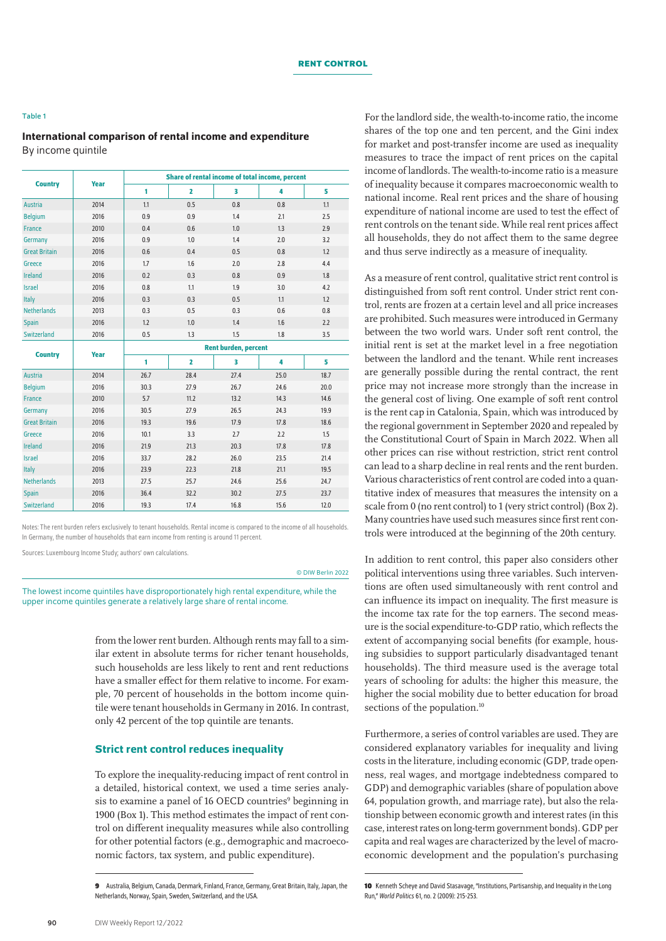#### Table 1

## International comparison of rental income and expenditure By income quintile

| <b>Country</b>       | Year | Share of rental income of total income, percent |      |      |      |      |
|----------------------|------|-------------------------------------------------|------|------|------|------|
|                      |      | 1                                               | 2    | 3    | 4    | 5    |
| Austria              | 2014 | 1.1                                             | 0.5  | 0.8  | 0.8  | 1.1  |
| <b>Belgium</b>       | 2016 | 0.9                                             | 0.9  | 1.4  | 2.1  | 2.5  |
| France               | 2010 | 0.4                                             | 0.6  | 1.0  | 1.3  | 2.9  |
| Germany              | 2016 | 0.9                                             | 1.0  | 1.4  | 2.0  | 3.2  |
| <b>Great Britain</b> | 2016 | 0.6                                             | 0.4  | 0.5  | 0.8  | 1.2  |
| Greece               | 2016 | 1.7                                             | 1.6  | 2.0  | 2.8  | 4.4  |
| Ireland              | 2016 | 0.2                                             | 0.3  | 0.8  | 0.9  | 1.8  |
| <b>Israel</b>        | 2016 | 0.8                                             | 1.1  | 1.9  | 3.0  | 4.2  |
| Italy                | 2016 | 0.3                                             | 0.3  | 0.5  | 1.1  | 1.2  |
| <b>Netherlands</b>   | 2013 | 0.3                                             | 0.5  | 0.3  | 0.6  | 0.8  |
| Spain                | 2016 | 1.2                                             | 1.0  | 1.4  | 1.6  | 2.2  |
| <b>Switzerland</b>   | 2016 | 0.5                                             | 1.3  | 1.5  | 1.8  | 3.5  |
|                      | Year | <b>Rent burden, percent</b>                     |      |      |      |      |
| <b>Country</b>       |      | 1                                               | 2    | 3    | 4    | 5    |
| <b>Austria</b>       | 2014 | 26.7                                            | 28.4 | 27.4 | 25.0 | 18.7 |
| <b>Belgium</b>       | 2016 | 30.3                                            | 27.9 | 26.7 | 24.6 | 20.0 |
| France               | 2010 | 5.7                                             | 11.2 | 13.2 | 14.3 | 14.6 |
| Germany              | 2016 | 30.5                                            | 27.9 | 26.5 | 24.3 | 19.9 |
| <b>Great Britain</b> | 2016 | 19.3                                            | 19.6 | 17.9 | 17.8 | 18.6 |
| Greece               | 2016 | 10.1                                            | 3.3  | 2.7  | 2.2  | 1.5  |
| <b>Ireland</b>       | 2016 | 21.9                                            | 21.3 | 20.3 | 17.8 | 17.8 |
| <b>Israel</b>        | 2016 | 33.7                                            | 28.2 | 26.0 | 23.5 | 21.4 |
| Italy                | 2016 | 23.9                                            | 22.3 | 21.8 | 21.1 | 19.5 |
| <b>Netherlands</b>   | 2013 | 27.5                                            | 25.7 | 24.6 | 25.6 | 24.7 |
| <b>Spain</b>         | 2016 | 36.4                                            | 32.2 | 30.2 | 27.5 | 23.7 |
| <b>Switzerland</b>   | 2016 | 19.3                                            | 17.4 | 16.8 | 15.6 | 12.0 |

Notes: The rent burden refers exclusively to tenant households. Rental income is compared to the income of all households. In Germany, the number of households that earn income from renting is around 11 percent.

Sources: Luxembourg Income Study; authors' own calculations.

#### © DIW Berlin 2022

The lowest income quintiles have disproportionately high rental expenditure, while the upper income quintiles generate a relatively large share of rental income.

> from the lower rent burden. Although rents may fall to a similar extent in absolute terms for richer tenant households, such households are less likely to rent and rent reductions have a smaller effect for them relative to income. For example, 70 percent of households in the bottom income quintile were tenant households in Germany in 2016. In contrast, only 42 percent of the top quintile are tenants.

#### Strict rent control reduces inequality

To explore the inequality-reducing impact of rent control in a detailed, historical context, we used a time series analysis to examine a panel of 16 OECD countries<sup>9</sup> beginning in 1900 (Box 1). This method estimates the impact of rent control on different inequality measures while also controlling for other potential factors (e.g., demographic and macroeconomic factors, tax system, and public expenditure).

For the landlord side, the wealth-to-income ratio, the income shares of the top one and ten percent, and the Gini index for market and post-transfer income are used as inequality measures to trace the impact of rent prices on the capital income of landlords. The wealth-to-income ratio is a measure of inequality because it compares macroeconomic wealth to national income. Real rent prices and the share of housing expenditure of national income are used to test the effect of rent controls on the tenant side. While real rent prices affect all households, they do not affect them to the same degree and thus serve indirectly as a measure of inequality.

As a measure of rent control, qualitative strict rent control is distinguished from soft rent control. Under strict rent control, rents are frozen at a certain level and all price increases are prohibited. Such measures were introduced in Germany between the two world wars. Under soft rent control, the initial rent is set at the market level in a free negotiation between the landlord and the tenant. While rent increases are generally possible during the rental contract, the rent price may not increase more strongly than the increase in the general cost of living. One example of soft rent control is the rent cap in Catalonia, Spain, which was introduced by the regional government in September 2020 and repealed by the Constitutional Court of Spain in March 2022. When all other prices can rise without restriction, strict rent control can lead to a sharp decline in real rents and the rent burden. Various characteristics of rent control are coded into a quantitative index of measures that measures the intensity on a scale from 0 (no rent control) to 1 (very strict control) (Box 2). Many countries have used such measures since first rent controls were introduced at the beginning of the 20th century.

In addition to rent control, this paper also considers other political interventions using three variables. Such interventions are often used simultaneously with rent control and can influence its impact on inequality. The first measure is the income tax rate for the top earners. The second measure is the social expenditure-to-GDP ratio, which reflects the extent of accompanying social benefits (for example, housing subsidies to support particularly disadvantaged tenant households). The third measure used is the average total years of schooling for adults: the higher this measure, the higher the social mobility due to better education for broad sections of the population.<sup>10</sup>

Furthermore, a series of control variables are used. They are considered explanatory variables for inequality and living costs in the literature, including economic (GDP, trade openness, real wages, and mortgage indebtedness compared to GDP) and demographic variables (share of population above 64, population growth, and marriage rate), but also the relationship between economic growth and interest rates (in this case, interest rates on long-term government bonds). GDP per capita and real wages are characterized by the level of macroeconomic development and the population's purchasing

**<sup>9</sup>** Australia, Belgium, Canada, Denmark, Finland, France, Germany, Great Britain, Italy, Japan, the Netherlands, Norway, Spain, Sweden, Switzerland, and the USA.

**<sup>10</sup>** Kenneth Scheye and David Stasavage, "Institutions, Partisanship, and Inequality in the Long Run," *World Politics* 61, no.2 (2009): 215-253.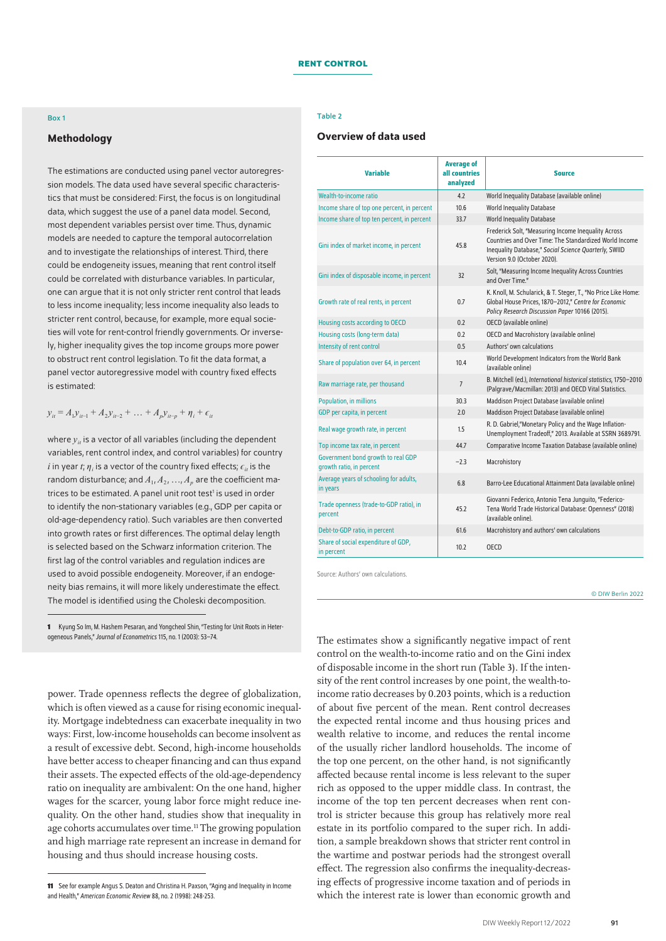#### Box 1

## Methodology

The estimations are conducted using panel vector autoregression models. The data used have several specific characteristics that must be considered: First, the focus is on longitudinal data, which suggest the use of a panel data model. Second, most dependent variables persist over time. Thus, dynamic models are needed to capture the temporal autocorrelation and to investigate the relationships of interest. Third, there could be endogeneity issues, meaning that rent control itself could be correlated with disturbance variables. In particular, one can argue that it is not only stricter rent control that leads to less income inequality; less income inequality also leads to stricter rent control, because, for example, more equal societies will vote for rent-control friendly governments. Or inversely, higher inequality gives the top income groups more power to obstruct rent control legislation. To fit the data format, a panel vector autoregressive model with country fixed effects is estimated:

#### $y_{it} = A_1 y_{it-1} + A_2 y_{it-2} + \ldots + A_p y_{it-p} + \eta_i + \epsilon_{it}$

where  $y_i$  is a vector of all variables (including the dependent variables, rent control index, and control variables) for country  $i$  in year  $t$ ;  $\eta$ <sub>i</sub> is a vector of the country fixed effects;  $\epsilon_{it}$  is the random disturbance; and  $A_1, A_2, ..., A_n$  are the coefficient matrices to be estimated. A panel unit root test<sup>1</sup> is used in order to identify the non-stationary variables (e.g., GDP per capita or old-age-dependency ratio). Such variables are then converted into growth rates or first differences. The optimal delay length is selected based on the Schwarz information criterion. The first lag of the control variables and regulation indices are used to avoid possible endogeneity. Moreover, if an endogeneity bias remains, it will more likely underestimate the effect. The model is identified using the Choleski decomposition.

power. Trade openness reflects the degree of globalization, which is often viewed as a cause for rising economic inequality. Mortgage indebtedness can exacerbate inequality in two ways: First, low-income households can become insolvent as a result of excessive debt. Second, high-income households have better access to cheaper financing and can thus expand their assets. The expected effects of the old-age-dependency ratio on inequality are ambivalent: On the one hand, higher wages for the scarcer, young labor force might reduce inequality. On the other hand, studies show that inequality in age cohorts accumulates over time.<sup>11</sup> The growing population and high marriage rate represent an increase in demand for housing and thus should increase housing costs.

#### Table 2

## Overview of data used

| <b>Variable</b>                                                | <b>Average of</b><br>all countries<br>analyzed | <b>Source</b>                                                                                                                                                                                         |
|----------------------------------------------------------------|------------------------------------------------|-------------------------------------------------------------------------------------------------------------------------------------------------------------------------------------------------------|
| Wealth-to-income ratio                                         | 4.2                                            | World Inequality Database (available online)                                                                                                                                                          |
| Income share of top one percent, in percent                    | 10.6                                           | World Inequality Database                                                                                                                                                                             |
| Income share of top ten percent, in percent                    | 33.7                                           | <b>World Inequality Database</b>                                                                                                                                                                      |
| Gini index of market income, in percent                        | 45.8                                           | Frederick Solt, "Measuring Income Inequality Across<br>Countries and Over Time: The Standardized World Income<br>Inequality Database," Social Science Quarterly, SWIID<br>Version 9.0 (October 2020). |
| Gini index of disposable income, in percent                    | 32                                             | Solt, "Measuring Income Inequality Across Countries<br>and Over Time."                                                                                                                                |
| Growth rate of real rents, in percent                          | 0.7                                            | K. Knoll, M. Schularick, & T. Steger, T., "No Price Like Home:<br>Global House Prices, 1870-2012," Centre for Economic<br>Policy Research Discussion Paper 10166 (2015).                              |
| Housing costs according to OECD                                | 0.2                                            | OECD (available online)                                                                                                                                                                               |
| Housing costs (long-term data)                                 | 0.2                                            | OECD and Macrohistory (available online)                                                                                                                                                              |
| Intensity of rent control                                      | 0.5                                            | Authors' own calculations                                                                                                                                                                             |
| Share of population over 64, in percent                        | 10.4                                           | World Development Indicators from the World Bank<br>(available online)                                                                                                                                |
| Raw marriage rate, per thousand                                | $\overline{7}$                                 | B. Mitchell (ed.), International historical statistics, 1750-2010<br>(Palgrave/Macmillan: 2013) and OECD Vital Statistics.                                                                            |
| Population, in millions                                        | 30.3                                           | Maddison Project Database (available online)                                                                                                                                                          |
| GDP per capita, in percent                                     | 2.0                                            | Maddison Project Database (available online)                                                                                                                                                          |
| Real wage growth rate, in percent                              | 1.5                                            | R. D. Gabriel,"Monetary Policy and the Wage Inflation-<br>Unemployment Tradeoff," 2013. Available at SSRN 3689791.                                                                                    |
| Top income tax rate, in percent                                | 44.7                                           | Comparative Income Taxation Database (available online)                                                                                                                                               |
| Government bond growth to real GDP<br>growth ratio, in percent | $-2.3$                                         | Macrohistory                                                                                                                                                                                          |
| Average years of schooling for adults,<br>in years             | 6.8                                            | Barro-Lee Educational Attainment Data (available online)                                                                                                                                              |
| Trade openness (trade-to-GDP ratio), in<br>percent             | 45.2                                           | Giovanni Federico, Antonio Tena Junguito, "Federico-<br>Tena World Trade Historical Database: Openness" (2018)<br>(available online).                                                                 |
| Debt-to-GDP ratio, in percent                                  | 61.6                                           | Macrohistory and authors' own calculations                                                                                                                                                            |
| Share of social expenditure of GDP,<br>in percent              | 10.2                                           | OFCD                                                                                                                                                                                                  |

Source: Authors' own calculations.

© DIW Berlin 2022

The estimates show a significantly negative impact of rent control on the wealth-to-income ratio and on the Gini index of disposable income in the short run (Table 3). If the intensity of the rent control increases by one point, the wealth-toincome ratio decreases by 0.203 points, which is a reduction of about five percent of the mean. Rent control decreases the expected rental income and thus housing prices and wealth relative to income, and reduces the rental income of the usually richer landlord households. The income of the top one percent, on the other hand, is not significantly affected because rental income is less relevant to the super rich as opposed to the upper middle class. In contrast, the income of the top ten percent decreases when rent control is stricter because this group has relatively more real estate in its portfolio compared to the super rich. In addition, a sample breakdown shows that stricter rent control in the wartime and postwar periods had the strongest overall effect. The regression also confirms the inequality-decreasing effects of progressive income taxation and of periods in which the interest rate is lower than economic growth and

**<sup>1</sup>** Kyung So Im, M. Hashem Pesaran, and Yongcheol Shin, "Testing for Unit Roots in Heterogeneous Panels," *Journal of Econometrics* 115, no. 1 (2003): 53–74.

**<sup>11</sup>** See for example Angus S. Deaton and Christina H. Paxson, "Aging and Inequality in Income and Health," *American Economic Review* 88, no.2 (1998): 248-253.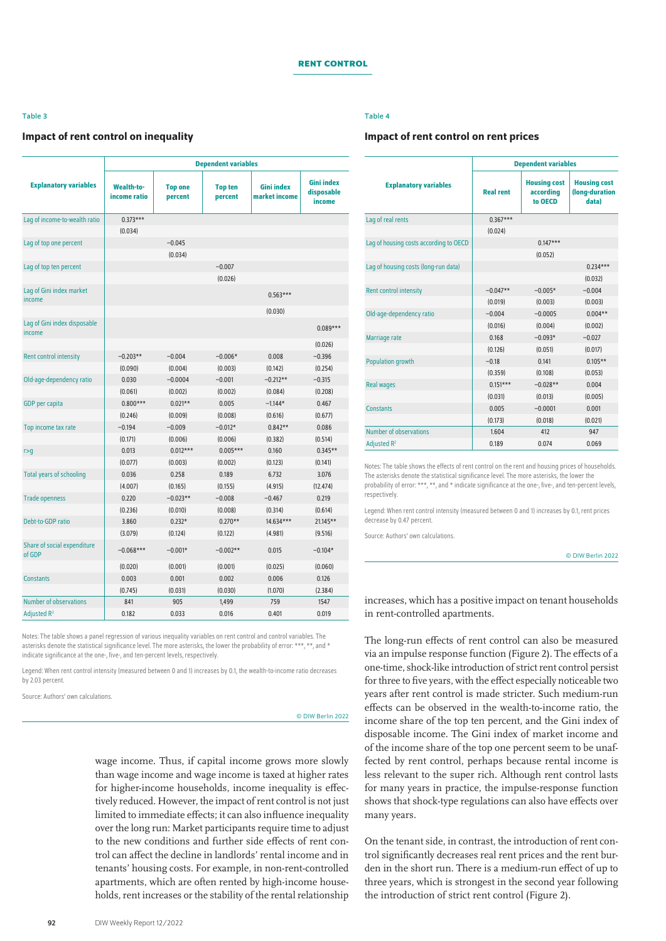#### Table 3

#### Impact of rent control on inequality

|                                        | <b>Dependent variables</b>        |                           |                           |                                    |                                           |  |  |
|----------------------------------------|-----------------------------------|---------------------------|---------------------------|------------------------------------|-------------------------------------------|--|--|
| <b>Explanatory variables</b>           | <b>Wealth-to-</b><br>income ratio | <b>Top one</b><br>percent | <b>Top ten</b><br>percent | <b>Gini index</b><br>market income | <b>Gini index</b><br>disposable<br>income |  |  |
| Lag of income-to-wealth ratio          | $0.373***$                        |                           |                           |                                    |                                           |  |  |
|                                        | (0.034)                           |                           |                           |                                    |                                           |  |  |
| Lag of top one percent                 |                                   | $-0.045$                  |                           |                                    |                                           |  |  |
|                                        |                                   | (0.034)                   |                           |                                    |                                           |  |  |
| Lag of top ten percent                 |                                   |                           | $-0.007$                  |                                    |                                           |  |  |
|                                        |                                   |                           | (0.026)                   |                                    |                                           |  |  |
| Lag of Gini index market<br>income     |                                   |                           |                           | $0.563***$                         |                                           |  |  |
|                                        |                                   |                           |                           | (0.030)                            |                                           |  |  |
| Lag of Gini index disposable<br>income |                                   |                           |                           |                                    | $0.089***$                                |  |  |
|                                        |                                   |                           |                           |                                    | (0.026)                                   |  |  |
| Rent control intensity                 | $-0.203**$                        | $-0.004$                  | $-0.006*$                 | 0.008                              | $-0.396$                                  |  |  |
|                                        | (0.090)                           | (0.004)                   | (0.003)                   | (0.142)                            | (0.254)                                   |  |  |
| Old-age-dependency ratio               | 0.030                             | $-0.0004$                 | $-0.001$                  | $-0.212**$                         | $-0.315$                                  |  |  |
|                                        | (0.061)                           | (0.002)                   | (0.002)                   | (0.084)                            | (0.208)                                   |  |  |
| GDP per capita                         | $0.800***$                        | $0.021**$                 | 0.005                     | $-1.144*$                          | 0.467                                     |  |  |
|                                        | (0.246)                           | (0.009)                   | (0.008)                   | (0.616)                            | (0.677)                                   |  |  |
| Top income tax rate                    | $-0.194$                          | $-0.009$                  | $-0.012*$                 | $0.842**$                          | 0.086                                     |  |  |
|                                        | (0.171)                           | (0.006)                   | (0.006)                   | (0.382)                            | (0.514)                                   |  |  |
| r > g                                  | 0.013                             | $0.012***$                | $0.005***$                | 0.160                              | $0.345**$                                 |  |  |
|                                        | (0.077)                           | (0.003)                   | (0.002)                   | (0.123)                            | (0.141)                                   |  |  |
| <b>Total years of schooling</b>        | 0.036                             | 0.258                     | 0.189                     | 6.732                              | 3.076                                     |  |  |
|                                        | (4.007)                           | (0.165)                   | (0.155)                   | (4.915)                            | (12.474)                                  |  |  |
| <b>Trade openness</b>                  | 0.220                             | $-0.023**$                | $-0.008$                  | $-0.467$                           | 0.219                                     |  |  |
|                                        | (0.236)                           | (0.010)                   | (0.008)                   | (0.314)                            | (0.614)                                   |  |  |
| Debt-to-GDP ratio                      | 3.860                             | $0.232*$                  | $0.270**$                 | $14.634***$                        | $21.145**$                                |  |  |
|                                        | (3.079)                           | (0.124)                   | (0.122)                   | (4.981)                            | (9.516)                                   |  |  |
| Share of social expenditure<br>of GDP  | $-0.068***$                       | $-0.001*$                 | $-0.002**$                | 0.015                              | $-0.104*$                                 |  |  |
|                                        | (0.020)                           | (0.001)                   | (0.001)                   | (0.025)                            | (0.060)                                   |  |  |
| <b>Constants</b>                       | 0.003                             | 0.001                     | 0.002                     | 0.006                              | 0.126                                     |  |  |
|                                        | (0.745)                           | (0.031)                   | (0.030)                   | (1.070)                            | (2.384)                                   |  |  |
| <b>Number of observations</b>          | 841                               | 905                       | 1,499                     | 759                                | 1547                                      |  |  |
| Adjusted R <sup>2</sup>                | 0.182                             | 0.033                     | 0.016                     | 0.401                              | 0.019                                     |  |  |

Notes: The table shows a panel regression of various inequality variables on rent control and control variables. The asterisks denote the statistical significance level. The more asterisks, the lower the probability of error: \*\*\*, \*\*, and \* indicate significance at the one-, five-, and ten-percent levels, respectively.

Legend: When rent control intensity (measured between 0 and 1) increases by 0.1, the wealth-to-income ratio decreases by 2.03 percent.

Source: Authors' own calculations.

© DIW Berlin 2022

wage income. Thus, if capital income grows more slowly than wage income and wage income is taxed at higher rates for higher-income households, income inequality is effectively reduced. However, the impact of rent control is not just limited to immediate effects; it can also influence inequality over the long run: Market participants require time to adjust to the new conditions and further side effects of rent control can affect the decline in landlords' rental income and in tenants' housing costs. For example, in non-rent-controlled apartments, which are often rented by high-income households, rent increases or the stability of the rental relationship

## Table 4

#### Impact of rent control on rent prices

|                                        | <b>Dependent variables</b> |                                             |                                                |  |
|----------------------------------------|----------------------------|---------------------------------------------|------------------------------------------------|--|
| <b>Explanatory variables</b>           | <b>Real rent</b>           | <b>Housing cost</b><br>according<br>to OECD | <b>Housing cost</b><br>(long-duration<br>data) |  |
| Lag of real rents                      | $0.367***$                 |                                             |                                                |  |
|                                        | (0.024)                    |                                             |                                                |  |
| Lag of housing costs according to OECD |                            | $0.147***$                                  |                                                |  |
|                                        |                            | (0.052)                                     |                                                |  |
| Lag of housing costs (long-run data)   |                            |                                             | $0.234***$                                     |  |
|                                        |                            |                                             | (0.032)                                        |  |
| <b>Rent control intensity</b>          | $-0.047**$                 | $-0.005*$                                   | $-0.004$                                       |  |
|                                        | (0.019)                    | (0.003)                                     | (0.003)                                        |  |
| Old-age-dependency ratio               | $-0.004$                   | $-0.0005$                                   | $0.004**$                                      |  |
|                                        | (0.016)                    | (0.004)                                     | (0.002)                                        |  |
| Marriage rate                          | 0.168                      | $-0.093*$                                   | $-0.027$                                       |  |
|                                        | (0.126)                    | (0.051)                                     | (0.017)                                        |  |
| <b>Population growth</b>               | $-0.18$                    | 0.141                                       | $0.105**$                                      |  |
|                                        | (0.359)                    | (0.108)                                     | (0.053)                                        |  |
| <b>Real wages</b>                      | $0.151***$                 | $-0.028**$                                  | 0.004                                          |  |
|                                        | (0.031)                    | (0.013)                                     | (0.005)                                        |  |
| <b>Constants</b>                       | 0.005                      | $-0.0001$                                   | 0.001                                          |  |
|                                        | (0.173)                    | (0.018)                                     | (0.021)                                        |  |
| Number of observations                 | 1.604                      | 412                                         | 947                                            |  |
| Adjusted R <sup>2</sup>                | 0.189                      | 0.074                                       | 0.069                                          |  |

Notes: The table shows the effects of rent control on the rent and housing prices of households. The asterisks denote the statistical significance level. The more asterisks, the lower the probability of error: \*\*\*, \*\*, and \* indicate significance at the one-, five-, and ten-percent levels, respectively.

Legend: When rent control intensity (measured between 0 and 1) increases by 0.1, rent prices decrease by 0.47 percent.

Source: Authors' own calculations.

© DIW Berlin 2022

increases, which has a positive impact on tenant households in rent-controlled apartments.

The long-run effects of rent control can also be measured via an impulse response function (Figure 2). The effects of a one-time, shock-like introduction of strict rent control persist for three to five years, with the effect especially noticeable two years after rent control is made stricter. Such medium-run effects can be observed in the wealth-to-income ratio, the income share of the top ten percent, and the Gini index of disposable income. The Gini index of market income and of the income share of the top one percent seem to be unaffected by rent control, perhaps because rental income is less relevant to the super rich. Although rent control lasts for many years in practice, the impulse-response function shows that shock-type regulations can also have effects over many years.

On the tenant side, in contrast, the introduction of rent control significantly decreases real rent prices and the rent burden in the short run. There is a medium-run effect of up to three years, which is strongest in the second year following the introduction of strict rent control (Figure 2).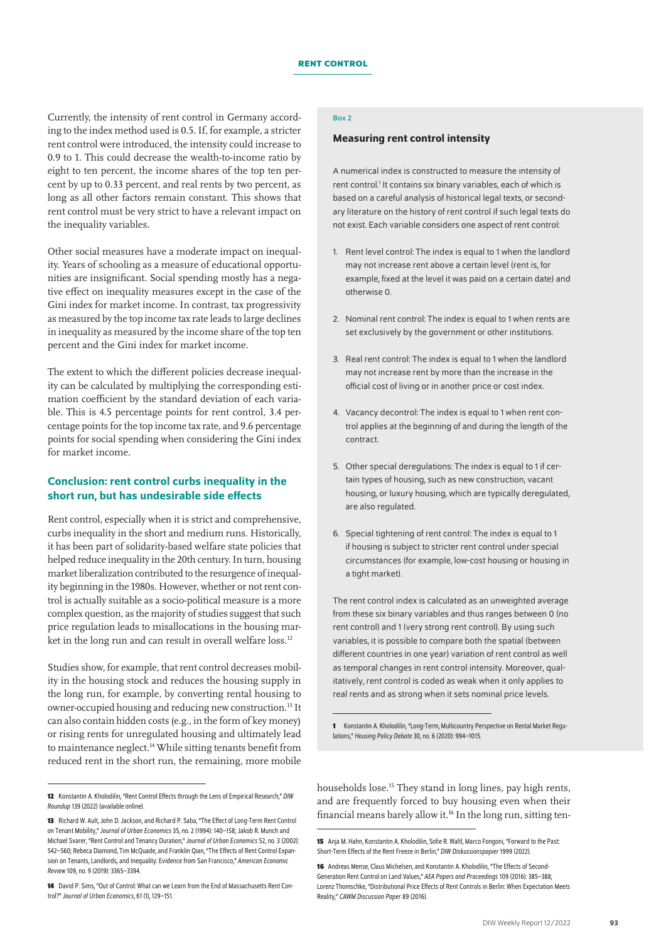Currently, the intensity of rent control in Germany according to the index method used is 0.5. If, for example, a stricter rent control were introduced, the intensity could increase to 0.9 to 1. This could decrease the wealth-to-income ratio by eight to ten percent, the income shares of the top ten percent by up to 0.33 percent, and real rents by two percent, as long as all other factors remain constant. This shows that rent control must be very strict to have a relevant impact on the inequality variables.

Other social measures have a moderate impact on inequality. Years of schooling as a measure of educational opportunities are insignificant. Social spending mostly has a negative effect on inequality measures except in the case of the Gini index for market income. In contrast, tax progressivity as measured by the top income tax rate leads to large declines in inequality as measured by the income share of the top ten percent and the Gini index for market income.

The extent to which the different policies decrease inequality can be calculated by multiplying the corresponding estimation coefficient by the standard deviation of each variable. This is 4.5 percentage points for rent control, 3.4 percentage points for the top income tax rate, and 9.6 percentage points for social spending when considering the Gini index for market income.

## Conclusion: rent control curbs inequality in the short run, but has undesirable side effects

Rent control, especially when it is strict and comprehensive, curbs inequality in the short and medium runs. Historically, it has been part of solidarity-based welfare state policies that helped reduce inequality in the 20th century. In turn, housing market liberalization contributed to the resurgence of inequality beginning in the 1980s. However, whether or not rent control is actually suitable as a socio-political measure is a more complex question, as the majority of studies suggest that such price regulation leads to misallocations in the housing market in the long run and can result in overall welfare loss.<sup>12</sup>

Studies show, for example, that rent control decreases mobility in the housing stock and reduces the housing supply in the long run, for example, by converting rental housing to owner-occupied housing and reducing new construction.13 It can also contain hidden costs (e.g., in the form of key money) or rising rents for unregulated housing and ultimately lead to maintenance neglect.<sup>14</sup> While sitting tenants benefit from reduced rent in the short run, the remaining, more mobile

### Box 2

#### Measuring rent control intensity

A numerical index is constructed to measure the intensity of rent control.<sup>1</sup> It contains six binary variables, each of which is based on a careful analysis of historical legal texts, or secondary literature on the history of rent control if such legal texts do not exist. Each variable considers one aspect of rent control:

- 1. Rent level control: The index is equal to 1 when the landlord may not increase rent above a certain level (rent is, for example, fixed at the level it was paid on a certain date) and otherwise 0.
- 2. Nominal rent control: The index is equal to 1 when rents are set exclusively by the government or other institutions.
- 3. Real rent control: The index is equal to 1 when the landlord may not increase rent by more than the increase in the official cost of living or in another price or cost index.
- 4. Vacancy decontrol: The index is equal to 1 when rent control applies at the beginning of and during the length of the contract.
- 5. Other special deregulations: The index is equal to 1 if certain types of housing, such as new construction, vacant housing, or luxury housing, which are typically deregulated, are also regulated.
- 6. Special tightening of rent control: The index is equal to 1 if housing is subject to stricter rent control under special circumstances (for example, low-cost housing or housing in a tight market).

The rent control index is calculated as an unweighted average from these six binary variables and thus ranges between 0 (no rent control) and 1 (very strong rent control). By using such variables, it is possible to compare both the spatial (between different countries in one year) variation of rent control as well as temporal changes in rent control intensity. Moreover, qualitatively, rent control is coded as weak when it only applies to real rents and as strong when it sets nominal price levels.

**1** Konstantin A. Kholodilin, "Long-Term, Multicountry Perspective on Rental Market Regulations," *Housing Policy Debate* 30, no. 6 (2020): 994–1015.

households lose.<sup>15</sup> They stand in long lines, pay high rents, and are frequently forced to buy housing even when their financial means barely allow it.16 In the long run, sitting ten-

**<sup>12</sup>** Konstantin A. Kholodilin, "Rent Control Effects through the Lens of Empirical Research," *DIW Roundup* 139 (2022) [\(available online](https://www.diw.de/de/diw_01.c.833179.de/publikationen/roundup/2022_0139/rent_control_effects_through_the_lens_of_empirical_research.html)).

**<sup>13</sup>** Richard W. Ault, John D. Jackson, and Richard P. Saba, "The Effect of Long-Term Rent Control on Tenant Mobility," *Journal of Urban Economics* 35, no.2 (1994): 140–158; Jakob R. Munch and Michael Svarer, "Rent Control and Tenancy Duration," *Journal of Urban Economics* 52, no.3 (2002): 542–560; Rebeca Diamond, Tim McQuade, and Franklin Qian, "The Effects of Rent Control Expansion on Tenants, Landlords, and Inequality: Evidence from San Francisco," *American Economic Review* 109, no. 9 (2019): 3365–3394.

**<sup>14</sup>** David P. Sims, "Out of Control: What can we Learn from the End of Massachusetts Rent Control?" *Journal of Urban Economics*, 61 (1), 129–151.

**<sup>15</sup>** Anja M. Hahn, Konstantin A. Kholodilin, Sofie R. Waltl, Marco Fongoni, "Forward to the Past: Short-Term Effects of the Rent Freeze in Berlin," *DIW Diskussionspapier* 1999 (2022).

**<sup>16</sup>** Andreas Mense, Claus Michelsen, and Konstantin A. Kholodilin, "The Effects of Second-Generation Rent Control on Land Values," *AEA Papers and Proceedings* 109 (2016): 385–388; Lorenz Thomschke, "Distributional Price Effects of Rent Controls in Berlin: When Expectation Meets Reality," *CAWM Discussion Paper* 89 (2016).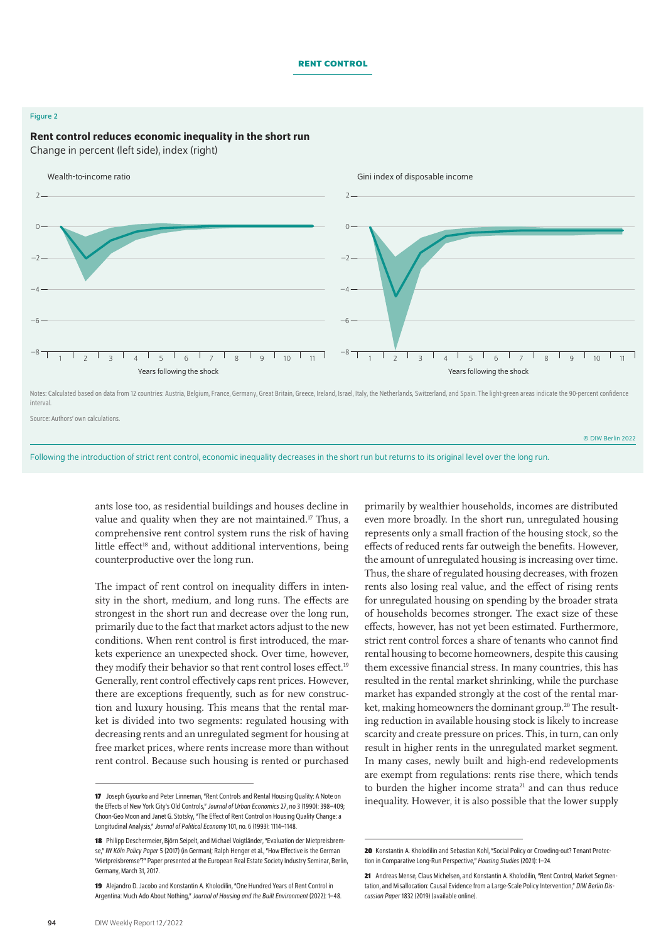#### **Rent control**

#### Figure 2

## Rent control reduces economic inequality in the short run

Change in percent (left side), index (right)



Notes: Calculated based on data from 12 countries: Austria, Belgium, France, Germany, Great Britain, Greece, Ireland, Israel, Italy, the Netherlands, Switzerland, and Spain. The light-green areas indicate the 90-percent co interval.

Source: Authors' own calculations.

© DIW Berlin 2022

Following the introduction of strict rent control, economic inequality decreases in the short run but returns to its original level over the long run.

ants lose too, as residential buildings and houses decline in value and quality when they are not maintained.<sup>17</sup> Thus, a comprehensive rent control system runs the risk of having little effect<sup>18</sup> and, without additional interventions, being counterproductive over the long run.

The impact of rent control on inequality differs in intensity in the short, medium, and long runs. The effects are strongest in the short run and decrease over the long run, primarily due to the fact that market actors adjust to the new conditions. When rent control is first introduced, the markets experience an unexpected shock. Over time, however, they modify their behavior so that rent control loses effect.<sup>19</sup> Generally, rent control effectively caps rent prices. However, there are exceptions frequently, such as for new construction and luxury housing. This means that the rental market is divided into two segments: regulated housing with decreasing rents and an unregulated segment for housing at free market prices, where rents increase more than without rent control. Because such housing is rented or purchased

primarily by wealthier households, incomes are distributed even more broadly. In the short run, unregulated housing represents only a small fraction of the housing stock, so the effects of reduced rents far outweigh the benefits. However, the amount of unregulated housing is increasing over time. Thus, the share of regulated housing decreases, with frozen rents also losing real value, and the effect of rising rents for unregulated housing on spending by the broader strata of households becomes stronger. The exact size of these effects, however, has not yet been estimated. Furthermore, strict rent control forces a share of tenants who cannot find rental housing to become homeowners, despite this causing them excessive financial stress. In many countries, this has resulted in the rental market shrinking, while the purchase market has expanded strongly at the cost of the rental market, making homeowners the dominant group.<sup>20</sup> The resulting reduction in available housing stock is likely to increase scarcity and create pressure on prices. This, in turn, can only result in higher rents in the unregulated market segment. In many cases, newly built and high-end redevelopments are exempt from regulations: rents rise there, which tends to burden the higher income strata<sup>21</sup> and can thus reduce inequality. However, it is also possible that the lower supply

**<sup>17</sup>** Joseph Gyourko and Peter Linneman, "Rent Controls and Rental Housing Quality: A Note on the Effects of New York City's Old Controls," *Journal of Urban Economics* 27, no 3 (1990): 398–409; Choon-Geo Moon and Janet G. Stotsky, "The Effect of Rent Control on Housing Quality Change: a Longitudinal Analysis," *Journal of Political Economy* 101, no. 6 (1993): 1114–1148.

**<sup>18</sup>** Philipp Deschermeier, Björn Seipelt, and Michael Voigtländer, "Evaluation der Mietpreisbremse," *IW Köln Policy Paper* 5 (2017) (in German); Ralph Henger etal., "How Effective is the German 'Mietpreisbremse'?" Paper presented at the European Real Estate Society Industry Seminar, Berlin, Germany, March 31, 2017.

**<sup>19</sup>** Alejandro D. Jacobo and Konstantin A. Kholodilin, "One Hundred Years of Rent Control in Argentina: Much Ado About Nothing," *Journal of Housing and the Built Environment* (2022): 1–48.

**<sup>20</sup>** Konstantin A. Kholodilin and Sebastian Kohl, "Social Policy or Crowding-out? Tenant Protection in Comparative Long-Run Perspective," *Housing Studies* (2021): 1–24.

**<sup>21</sup>** Andreas Mense, Claus Michelsen, and Konstantin A. Kholodilin, "Rent Control, Market Segmentation, and Misallocation: Causal Evidence from a Large-Scale Policy Intervention," *DIW Berlin Discussion Paper* 1832 (2019) ([available online\)](https://www.diw.de/de/diw_01.c.698619.de/publikationen/diskussionspapiere/2019_1832/rent_control__market_segmentation__and_misallocation__causal_evidence_from_a_large-scale_policy_intervention.html).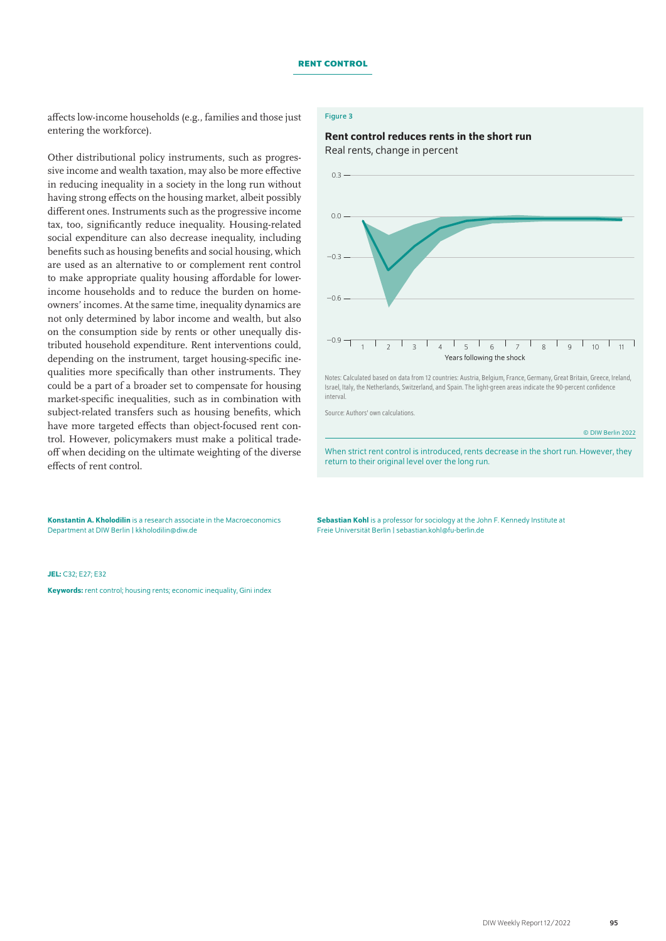affects low-income households (e.g., families and those just entering the workforce).

Other distributional policy instruments, such as progressive income and wealth taxation, may also be more effective in reducing inequality in a society in the long run without having strong effects on the housing market, albeit possibly different ones. Instruments such as the progressive income tax, too, significantly reduce inequality. Housing-related social expenditure can also decrease inequality, including benefits such as housing benefits and social housing, which are used as an alternative to or complement rent control to make appropriate quality housing affordable for lowerincome households and to reduce the burden on homeowners' incomes. At the same time, inequality dynamics are not only determined by labor income and wealth, but also on the consumption side by rents or other unequally distributed household expenditure. Rent interventions could, depending on the instrument, target housing-specific inequalities more specifically than other instruments. They could be a part of a broader set to compensate for housing market-specific inequalities, such as in combination with subject-related transfers such as housing benefits, which have more targeted effects than object-focused rent control. However, policymakers must make a political tradeoff when deciding on the ultimate weighting of the diverse effects of rent control.

Konstantin A. Kholodilin is a research associate in the Macroeconomics Department at DIW Berlin | [kkholodilin@diw.de](mailto:kkholodilin%40diw.de?subject=)

#### JEL: C32; E27; E32

Keywords: rent control; housing rents; economic inequality, Gini index

#### Figure 3

## Rent control reduces rents in the short run

Real rents, change in percent



Notes: Calculated based on data from 12 countries: Austria, Belgium, France, Germany, Great Britain, Greece, Ireland, Israel, Italy, the Netherlands, Switzerland, and Spain. The light-green areas indicate the 90-percent confidence interval.

Source: Authors' own calculations.

© DIW Berlin 2022

When strict rent control is introduced, rents decrease in the short run. However, they return to their original level over the long run.

Sebastian Kohl is a professor for sociology at the John F. Kennedy Institute at Freie Universität Berlin | [sebastian.kohl@fu-berlin.de](mailto:sebastian.kohl%40fu-berlin.de?subject=)